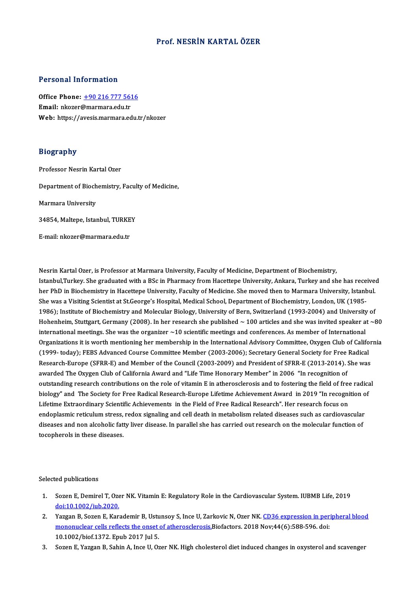## Prof.NESRİN KARTALÖZER

### Personal Information

Personal Information<br>Office Phone: <u>+90 216 777 5616</u><br>Email: plegar@marmara.edu.tr Procession and the conditions.<br>
Office Phone: <u>+90 216 777 563</u><br>
Email: nkozer[@marmara.edu.tr](tel:+90 216 777 5616) Email: nkozer@marmara.edu.tr<br>Web: https://avesis.marmara.edu.tr/nkozer

## Biography

Professor Nesrin Kartal Ozer

Department of Biochemistry, Faculty of Medicine,

Marmara University

Marmara University<br>34854, Maltepe, Istanbul, TURKEY 34854, Maltepe, Istanbul, TURKE<br>E-mail: nkozer@marmara.edu.tr

Nesrin Kartal Ozer, is Professor at Marmara University, Faculty of Medicine, Department of Biochemistry, Nesrin Kartal Ozer, is Professor at Marmara University, Faculty of Medicine, Department of Biochemistry,<br>Istanbul,Turkey. She graduated with a BSc in Pharmacy from Hacettepe University, Ankara, Turkey and she has received<br> Nesrin Kartal Ozer, is Professor at Marmara University, Faculty of Medicine, Department of Biochemistry,<br>Istanbul,Turkey. She graduated with a BSc in Pharmacy from Hacettepe University, Ankara, Turkey and she has receive<br>h Istanbul,Turkey. She graduated with a BSc in Pharmacy from Hacettepe University, Ankara, Turkey and she has rece<br>her PhD in Biochemistry in Hacettepe University, Faculty of Medicine. She moved then to Marmara University, I her PhD in Biochemistry in Hacettepe University, Faculty of Medicine. She moved then to Marmara University, Istanbul.<br>She was a Visiting Scientist at St.George's Hospital, Medical School, Department of Biochemistry, London She was a Visiting Scientist at St.George's Hospital, Medical School, Department of Biochemistry, London, UK (1985-<br>1986); Institute of Biochemistry and Molecular Biology, University of Bern, Switzerland (1993-2004) and Un 1986); Institute of Biochemistry and Molecular Biology, University of Bern, Switzerland (1993-2004) and University of<br>Hohenheim, Stuttgart, Germany (2008). In her research she published  $\sim$  100 articles and she was invit Hohenheim, Stuttgart, Germany (2008). In her research she published ~ 100 articles and she was invited speaker at ~80<br>international meetings. She was the organizer ~10 scientific meetings and conferences. As member of Inte (1999- today); FEBS Advanced Course Committee Member (2003-2006); Secretary General Society for Free Radical Organizations it is worth mentioning her membership in the International Advisory Committee, Oxygen Club of Califor<br>(1999- today); FEBS Advanced Course Committee Member (2003-2006); Secretary General Society for Free Radic (1999- today); FEBS Advanced Course Committee Member (2003-2006); Secretary General Society for Free<br>Research-Europe (SFRR-E) and Member of the Council (2003-2009) and President of SFRR-E (2013-2014). :<br>awarded The Oxygen Research-Europe (SFRR-E) and Member of the Council (2003-2009) and President of SFRR-E (2013-2014). She was<br>awarded The Oxygen Club of California Award and "Life Time Honorary Member" in 2006 "In recognition of<br>outstanding awarded The Oxygen Club of California Award and "Life Time Honorary Member" in 2006 "In recognition of<br>outstanding research contributions on the role of vitamin E in atherosclerosis and to fostering the field of free radic outstanding research contributions on the role of vitamin E in atherosclerosis and to fostering the field of free<br>biology" and The Society for Free Radical Research-Europe Lifetime Achievement Award in 2019 "In recogni<br>Li biology" and The Society for Free Radical Research-Europe Lifetime Achievement Award in 2019 "In recognition o<br>Lifetime Extraordinary Scientific Achievements in the Field of Free Radical Research". Her research focus on Lifetime Extraordinary Scientific Achievements in the Field of Free Radical Research". Her research focus on<br>endoplasmic reticulum stress, redox signaling and cell death in metabolism related diseases such as cardiovascul endoplasmic reticulum stress,<br>diseases and non alcoholic fatt<br>tocopherols in these diseases.

Selected publications

- elected publications<br>1. Sozen E, Demirel T, Ozer NK. Vitamin E: Regulatory Role in the Cardiovascular System. IUBMB Life, 2019<br>dei:10 1003 (inh 2020 ed publications<br>Sozen E, Demirel T, Oze<br>doi:10.1002/iub.2020.<br>Versen B, Seren E, Ken 2. Sozen E, Demirel T, Ozer NK. Vitamin E: Regulatory Role in the Cardiovascular System. IUBMB Life, 2019<br>
2. Yazgan B, Sozen E, Karademir B, Ustunsoy S, Ince U, Zarkovic N, Ozer NK. CD36 expression in peripheral blood<br>
2.
- doi:10.1002/iub.2020.<br>Yazgan B, Sozen E, Karademir B, Ustunsoy S, Ince U, Zarkovic N, Ozer NK. <u>CD36 expression in pertononuclear cells reflects the onset of atherosclerosis.</u>Biofactors. 2018 Nov;44(6):588-596. doi:<br>10.100 Yazgan B, Sozen E, Karademir B, Ustu<br><u>mononuclear cells reflects the onset</u><br>10.1002/biof.1372. Epub 2017 Jul 5.<br>Sozen E Yazgan B, Sobin A, Ince II, Or
- 3. SozenE,YazganB,SahinA, InceU,OzerNK.High cholesteroldiet induced changes inoxysteroland scavenger